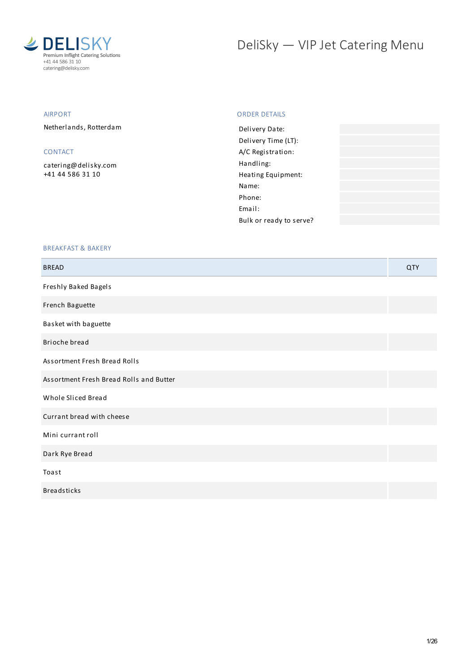

# DeliSky - VIP Jet Catering Menu

### AIRPORT

Netherlands, Rotterdam

## CONTACT

[catering@delisky.com](mailto:catering@delisky.com) +41 44 586 31 10

#### ORDER DETAILS

| Delivery Date:          |  |
|-------------------------|--|
| Delivery Time (LT):     |  |
| A/C Registration:       |  |
| Handling:               |  |
| Heating Equipment:      |  |
| Name:                   |  |
| Phone:                  |  |
| Fmail:                  |  |
| Bulk or ready to serve? |  |
|                         |  |

#### BREAKFAST & BAKERY

| <b>BREAD</b>                            | QTY |
|-----------------------------------------|-----|
| Freshly Baked Bagels                    |     |
| French Baguette                         |     |
| Basket with baguette                    |     |
| Brioche bread                           |     |
| Assortment Fresh Bread Rolls            |     |
| Assortment Fresh Bread Rolls and Butter |     |
| Whole Sliced Bread                      |     |
| Currant bread with cheese               |     |
| Mini currant roll                       |     |
| Dark Rye Bread                          |     |
| Toast                                   |     |
| <b>Breadsticks</b>                      |     |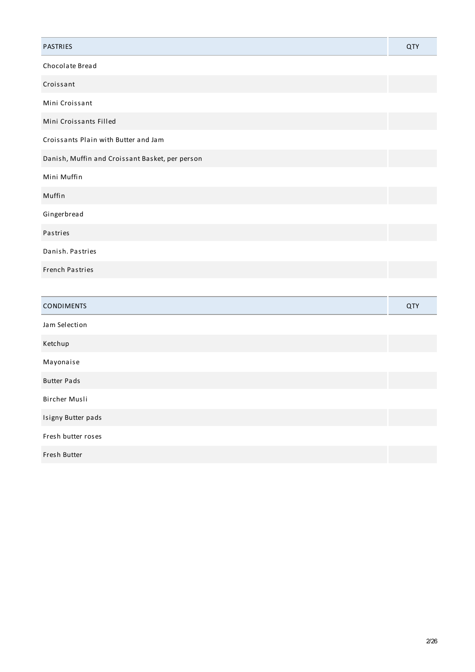| <b>PASTRIES</b>                                 | <b>QTY</b> |
|-------------------------------------------------|------------|
| Chocolate Bread                                 |            |
| Croissant                                       |            |
| Mini Croissant                                  |            |
| Mini Croissants Filled                          |            |
| Croissants Plain with Butter and Jam            |            |
| Danish, Muffin and Croissant Basket, per person |            |
| Mini Muffin                                     |            |
| Muffin                                          |            |
| Gingerbread                                     |            |
| Pastries                                        |            |
| Danish. Pastries                                |            |
| <b>French Pastries</b>                          |            |
|                                                 |            |
| <b>CONDIMENTS</b>                               | <b>QTY</b> |
| Jam Selection                                   |            |
| Ketchup                                         |            |
| Mayonaise                                       |            |
| <b>Butter Pads</b>                              |            |

Bircher Musli

Isigny Butter pads

Fresh butter roses

Fresh Butter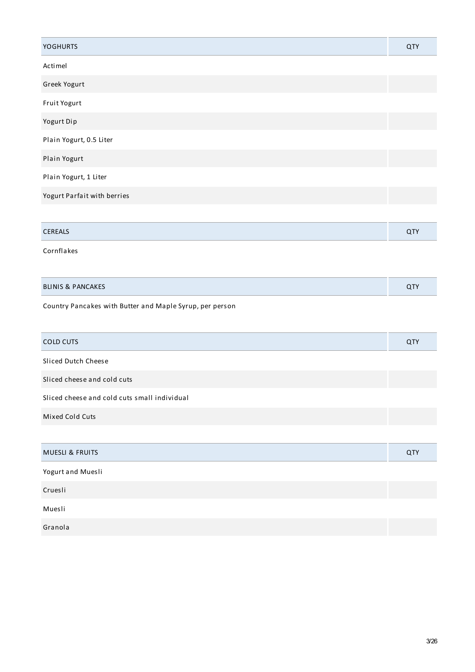| <b>YOGHURTS</b>                                          | QTY |
|----------------------------------------------------------|-----|
| Actimel                                                  |     |
| Greek Yogurt                                             |     |
| Fruit Yogurt                                             |     |
| Yogurt Dip                                               |     |
| Plain Yogurt, 0.5 Liter                                  |     |
| Plain Yogurt                                             |     |
| Plain Yogurt, 1 Liter                                    |     |
| Yogurt Parfait with berries                              |     |
|                                                          |     |
| CEREALS                                                  | QTY |
| Cornflakes                                               |     |
|                                                          |     |
| <b>BLINIS &amp; PANCAKES</b>                             | QTY |
| Country Pancakes with Butter and Maple Syrup, per person |     |
| <b>COLD CUTS</b>                                         | QTY |
| Sliced Dutch Cheese                                      |     |
| Sliced cheese and cold cuts                              |     |
| Sliced cheese and cold cuts small individual             |     |
| Mixed Cold Cuts                                          |     |
|                                                          |     |
| <b>MUESLI &amp; FRUITS</b>                               | QTY |
| Yogurt and Muesli                                        |     |
| Cruesli                                                  |     |
| Muesli                                                   |     |
| Granola                                                  |     |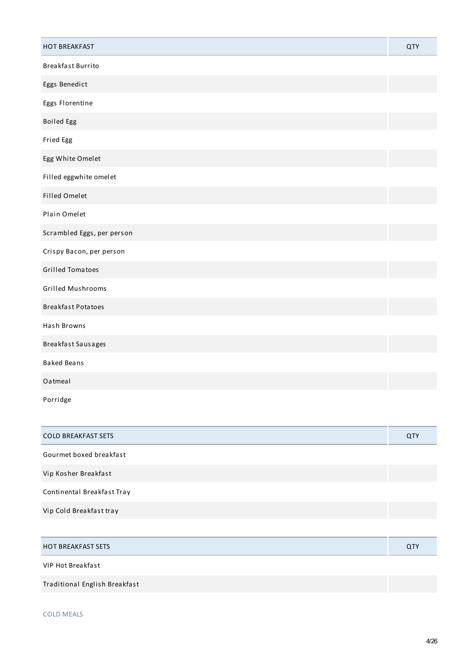| <b>HOT BREAKFAST</b>       | <b>QTY</b> |
|----------------------------|------------|
| Breakfast Burrito          |            |
| Eggs Benedict              |            |
| Eggs Florentine            |            |
| <b>Boiled Egg</b>          |            |
| Fried Egg                  |            |
| Egg White Omelet           |            |
| Filled eggwhite omelet     |            |
| <b>Filled Omelet</b>       |            |
| Plain Omelet               |            |
| Scrambled Eggs, per person |            |
| Crispy Bacon, per person   |            |
| <b>Grilled Tomatoes</b>    |            |
| Grilled Mushrooms          |            |
| <b>Breakfast Potatoes</b>  |            |
| Hash Browns                |            |
| Breakfast Sausages         |            |
| <b>Baked Beans</b>         |            |
| Oatmeal                    |            |
| Porridge                   |            |

| <b>COLD BREAKFAST SETS</b> | QTY |
|----------------------------|-----|
| Gourmet boxed breakfast    |     |
| Vip Kosher Breakfast       |     |
| Continental Breakfast Tray |     |
| Vip Cold Breakfast tray    |     |
|                            |     |

| <b>HOT BREAKFAST SETS</b>     | <b>QTY</b> |
|-------------------------------|------------|
| VIP Hot Breakfast             |            |
| Traditional English Breakfast |            |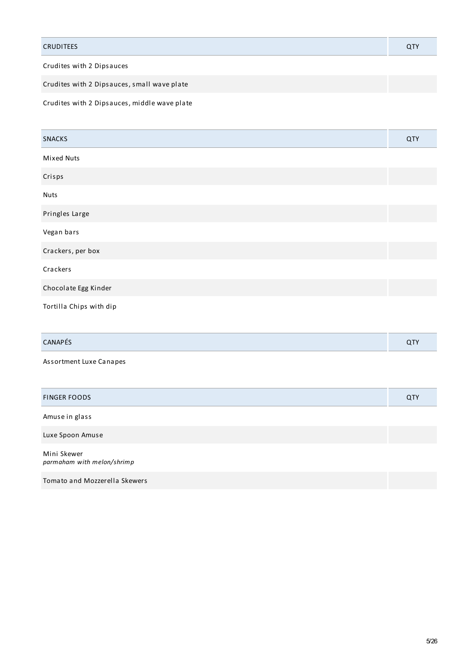| <b>CRUDITEES</b>           |  |
|----------------------------|--|
| Candiana miala 9 Bianomena |  |

Crudites with 2 Dipsauces

Crudites with 2 Dipsauces, small wave plate

Crudites with 2 Dipsauces, middle wave plate

| <b>SNACKS</b>                             | <b>QTY</b> |
|-------------------------------------------|------------|
| <b>Mixed Nuts</b>                         |            |
| Crisps                                    |            |
| <b>Nuts</b>                               |            |
| Pringles Large                            |            |
| Vegan bars                                |            |
| Crackers, per box                         |            |
| Crackers                                  |            |
| Chocolate Egg Kinder                      |            |
| Tortilla Chips with dip                   |            |
|                                           |            |
| CANAPÉS                                   | QTY        |
| Assortment Luxe Canapes                   |            |
|                                           |            |
| <b>FINGER FOODS</b>                       | <b>QTY</b> |
| Amuse in glass                            |            |
| Luxe Spoon Amuse                          |            |
| Mini Skewer<br>parmaham with melon/shrimp |            |
| Tomato and Mozzerella Skewers             |            |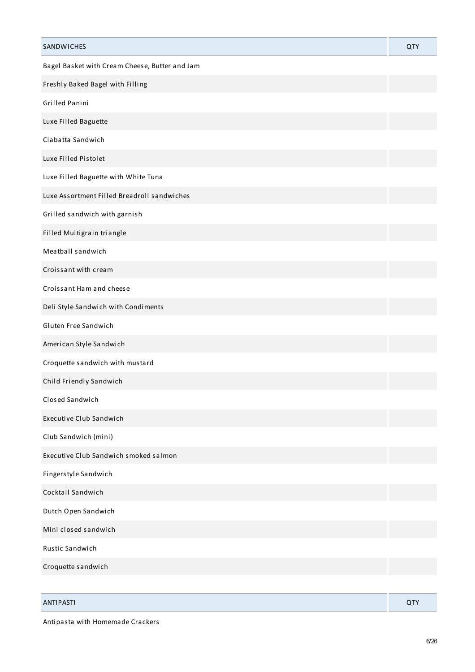| SANDWICHES                                     | QTY |
|------------------------------------------------|-----|
| Bagel Basket with Cream Cheese, Butter and Jam |     |
| Freshly Baked Bagel with Filling               |     |
| Grilled Panini                                 |     |
| Luxe Filled Baguette                           |     |
| Ciabatta Sandwich                              |     |
| Luxe Filled Pistolet                           |     |
| Luxe Filled Baguette with White Tuna           |     |
| Luxe Assortment Filled Breadroll sandwiches    |     |
| Grilled sandwich with garnish                  |     |
| Filled Multigrain triangle                     |     |
| Meatball sandwich                              |     |
| Croissant with cream                           |     |
| Croissant Ham and cheese                       |     |
| Deli Style Sandwich with Condiments            |     |
| Gluten Free Sandwich                           |     |
| American Style Sandwich                        |     |
| Croquette sandwich with mustard                |     |
| Child Friendly Sandwich                        |     |
| Closed Sandwich                                |     |
| Executive Club Sandwich                        |     |
| Club Sandwich (mini)                           |     |
| Executive Club Sandwich smoked salmon          |     |
| Fingerstyle Sandwich                           |     |
| Cocktail Sandwich                              |     |
| Dutch Open Sandwich                            |     |
| Mini closed sandwich                           |     |
| Rustic Sandwich                                |     |
| Croquette sandwich                             |     |
|                                                |     |

| <b>ANTIPASTI</b> | --<br>$\sim$ |
|------------------|--------------|
|                  |              |

Antipasta with Homemade Crackers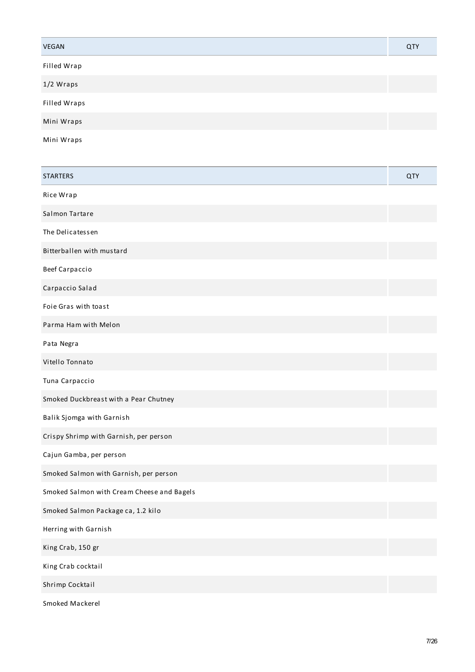| <b>VEGAN</b>        | QTY |
|---------------------|-----|
| Filled Wrap         |     |
| 1/2 Wraps           |     |
| <b>Filled Wraps</b> |     |
| Mini Wraps          |     |
|                     |     |

Mini Wraps

| <b>STARTERS</b>                            | QTY |
|--------------------------------------------|-----|
| Rice Wrap                                  |     |
| Salmon Tartare                             |     |
| The Delicatessen                           |     |
| Bitterballen with mustard                  |     |
| Beef Carpaccio                             |     |
| Carpaccio Salad                            |     |
| Foie Gras with toast                       |     |
| Parma Ham with Melon                       |     |
| Pata Negra                                 |     |
| Vitello Tonnato                            |     |
| Tuna Carpaccio                             |     |
| Smoked Duckbreast with a Pear Chutney      |     |
| Balik Sjomga with Garnish                  |     |
| Crispy Shrimp with Garnish, per person     |     |
| Cajun Gamba, per person                    |     |
| Smoked Salmon with Garnish, per person     |     |
| Smoked Salmon with Cream Cheese and Bagels |     |
| Smoked Salmon Package ca, 1.2 kilo         |     |
| Herring with Garnish                       |     |
| King Crab, 150 gr                          |     |
| King Crab cocktail                         |     |
| Shrimp Cocktail                            |     |
| Smoked Mackerel                            |     |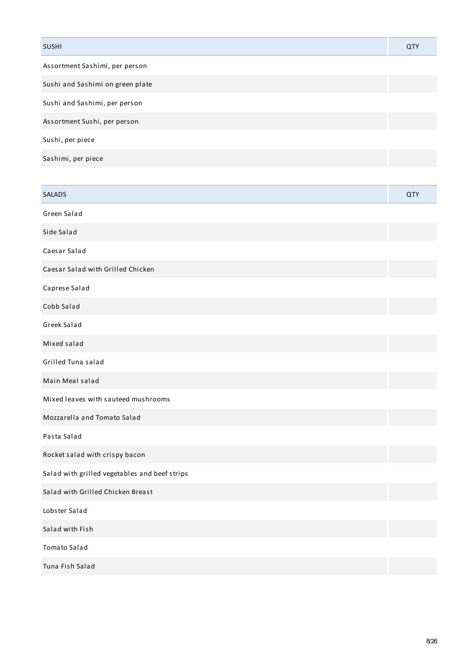| <b>SUSHI</b>                     | QTY |
|----------------------------------|-----|
| Assortment Sashimi, per person   |     |
| Sushi and Sashimi on green plate |     |
| Sushi and Sashimi, per person    |     |
| Assortment Sushi, per person     |     |
| Sushi, per piece                 |     |
| Sashimi, per piece               |     |

| <b>SALADS</b>                                 | QTY |
|-----------------------------------------------|-----|
| Green Salad                                   |     |
| Side Salad                                    |     |
| Caesar Salad                                  |     |
| Caesar Salad with Grilled Chicken             |     |
| Caprese Salad                                 |     |
| Cobb Salad                                    |     |
| Greek Salad                                   |     |
| Mixed salad                                   |     |
| Grilled Tuna salad                            |     |
| Main Meal salad                               |     |
| Mixed leaves with sauteed mushrooms           |     |
| Mozzarella and Tomato Salad                   |     |
| Pasta Salad                                   |     |
| Rocket salad with crispy bacon                |     |
| Salad with grilled vegetables and beef strips |     |
| Salad with Grilled Chicken Breast             |     |
| Lobster Salad                                 |     |
| Salad with Fish                               |     |
| Tomato Salad                                  |     |
| Tuna Fish Salad                               |     |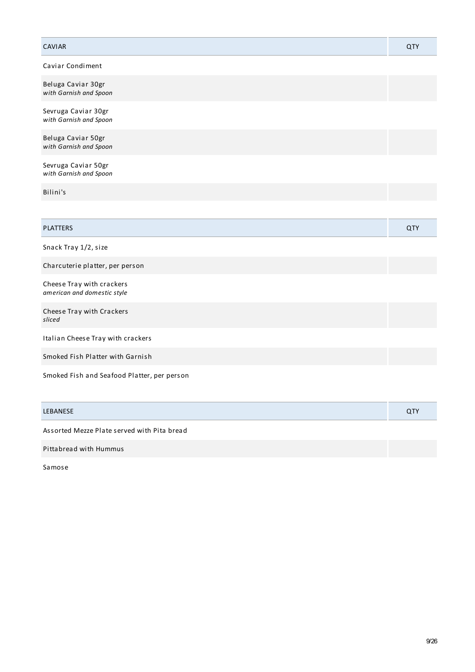| <b>CAVIAR</b>                                            | QTY        |
|----------------------------------------------------------|------------|
| Caviar Condiment                                         |            |
| Beluga Caviar 30gr<br>with Garnish and Spoon             |            |
| Sevruga Caviar 30gr<br>with Garnish and Spoon            |            |
| Beluga Caviar 50gr<br>with Garnish and Spoon             |            |
| Sevruga Caviar 50gr<br>with Garnish and Spoon            |            |
| Bilini's                                                 |            |
|                                                          |            |
| <b>PLATTERS</b>                                          | <b>QTY</b> |
| Snack Tray 1/2, size                                     |            |
| Charcuterie platter, per person                          |            |
| Cheese Tray with crackers<br>american and domestic style |            |
| Cheese Tray with Crackers<br>sliced                      |            |
| Italian Cheese Tray with crackers                        |            |
| Smoked Fish Platter with Garnish                         |            |
| Smoked Fish and Seafood Platter, per person              |            |

| LEBANESE                                    | <b>QTY</b> |
|---------------------------------------------|------------|
| Assorted Mezze Plate served with Pita bread |            |
| Pittabread with Hummus                      |            |

Samose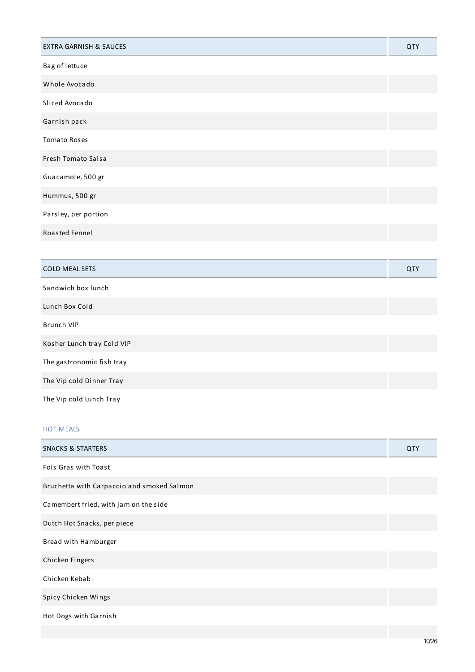| <b>EXTRA GARNISH &amp; SAUCES</b> | QTY |
|-----------------------------------|-----|
| Bag of lettuce                    |     |
| Whole Avocado                     |     |
| Sliced Avocado                    |     |
| Garnish pack                      |     |
| <b>Tomato Roses</b>               |     |
| Fresh Tomato Salsa                |     |
| Guacamole, 500 gr                 |     |
| Hummus, 500 gr                    |     |
| Parsley, per portion              |     |
| Roasted Fennel                    |     |
|                                   |     |
| <b>COLD MEAL SETS</b>             | QTY |
| Sandwich box lunch                |     |
| Lunch Box Cold                    |     |
| <b>Brunch VIP</b>                 |     |
| Kosher Lunch tray Cold VIP        |     |
| The gastronomic fish tray         |     |
| The Vip cold Dinner Tray          |     |
| The Vip cold Lunch Tray           |     |

## HOT MEALS

| <b>SNACKS &amp; STARTERS</b>               | QTY |
|--------------------------------------------|-----|
| Fois Gras with Toast                       |     |
| Bruchetta with Carpaccio and smoked Salmon |     |
| Camembert fried, with jam on the side      |     |
| Dutch Hot Snacks, per piece                |     |
| Bread with Hamburger                       |     |
| Chicken Fingers                            |     |
| Chicken Kebab                              |     |
| Spicy Chicken Wings                        |     |
| Hot Dogs with Garnish                      |     |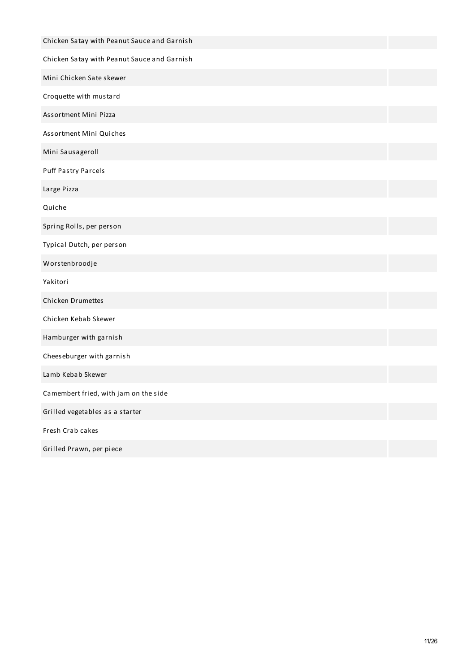| Chicken Satay with Peanut Sauce and Garnish |  |
|---------------------------------------------|--|
| Chicken Satay with Peanut Sauce and Garnish |  |
| Mini Chicken Sate skewer                    |  |
| Croquette with mustard                      |  |
| Assortment Mini Pizza                       |  |
| Assortment Mini Quiches                     |  |
| Mini Sausageroll                            |  |
| <b>Puff Pastry Parcels</b>                  |  |
| Large Pizza                                 |  |
| Quiche                                      |  |
| Spring Rolls, per person                    |  |
| Typical Dutch, per person                   |  |
| Worstenbroodje                              |  |
| Yakitori                                    |  |
| Chicken Drumettes                           |  |
| Chicken Kebab Skewer                        |  |
| Hamburger with garnish                      |  |
| Cheeseburger with garnish                   |  |
| Lamb Kebab Skewer                           |  |
| Camembert fried, with jam on the side       |  |
| Grilled vegetables as a starter             |  |
| Fresh Crab cakes                            |  |
| Grilled Prawn, per piece                    |  |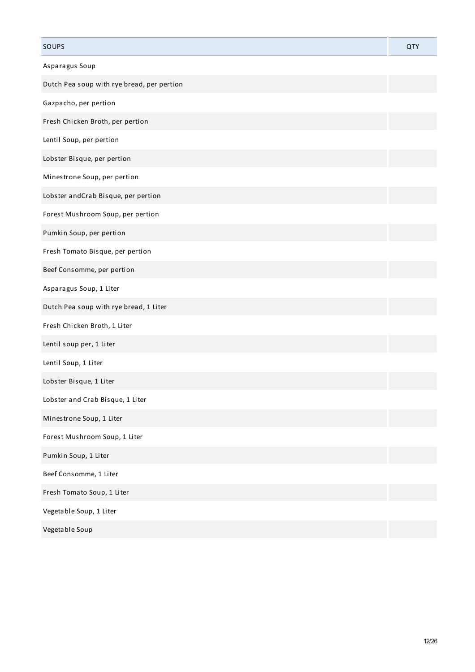| SOUPS                                      | <b>QTY</b> |
|--------------------------------------------|------------|
| Asparagus Soup                             |            |
| Dutch Pea soup with rye bread, per pertion |            |
| Gazpacho, per pertion                      |            |
| Fresh Chicken Broth, per pertion           |            |
| Lentil Soup, per pertion                   |            |
| Lobster Bisque, per pertion                |            |
| Minestrone Soup, per pertion               |            |
| Lobster and Crab Bisque, per pertion       |            |
| Forest Mushroom Soup, per pertion          |            |
| Pumkin Soup, per pertion                   |            |
| Fresh Tomato Bisque, per pertion           |            |
| Beef Consomme, per pertion                 |            |
| Asparagus Soup, 1 Liter                    |            |
| Dutch Pea soup with rye bread, 1 Liter     |            |
| Fresh Chicken Broth, 1 Liter               |            |
| Lentil soup per, 1 Liter                   |            |
| Lentil Soup, 1 Liter                       |            |
| Lobster Bisque, 1 Liter                    |            |
| Lobster and Crab Bisque, 1 Liter           |            |
| Minestrone Soup, 1 Liter                   |            |
| Forest Mushroom Soup, 1 Liter              |            |
| Pumkin Soup, 1 Liter                       |            |
| Beef Consomme, 1 Liter                     |            |
| Fresh Tomato Soup, 1 Liter                 |            |
| Vegetable Soup, 1 Liter                    |            |
| Vegetable Soup                             |            |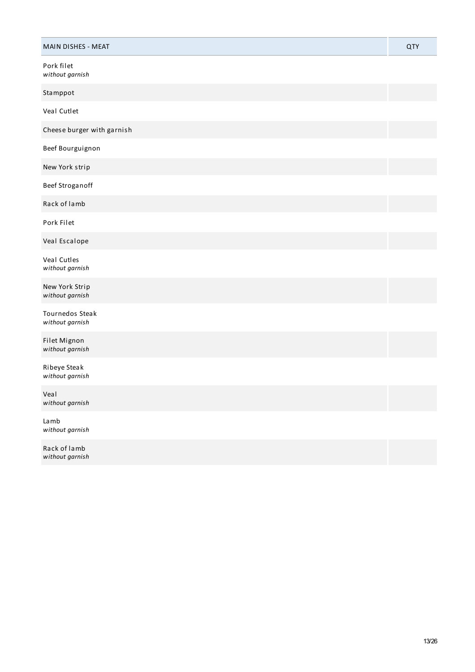| MAIN DISHES - MEAT                 | <b>QTY</b> |
|------------------------------------|------------|
| Pork filet<br>without garnish      |            |
| Stamppot                           |            |
| Veal Cutlet                        |            |
| Cheese burger with garnish         |            |
| Beef Bourguignon                   |            |
| New York strip                     |            |
| Beef Stroganoff                    |            |
| Rack of lamb                       |            |
| Pork Filet                         |            |
| Veal Escalope                      |            |
| Veal Cutles<br>without garnish     |            |
| New York Strip<br>without garnish  |            |
| Tournedos Steak<br>without garnish |            |
| Filet Mignon<br>without garnish    |            |
| Ribeye Steak<br>without garnish    |            |
| Veal<br>without garnish            |            |
| Lamb<br>without garnish            |            |
| Rack of lamb<br>without garnish    |            |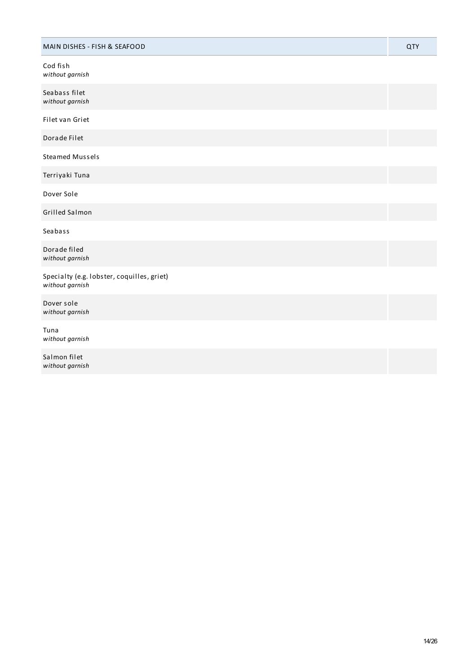| MAIN DISHES - FISH & SEAFOOD                                  | <b>QTY</b> |
|---------------------------------------------------------------|------------|
| Cod fish<br>without garnish                                   |            |
| Seabass filet<br>without garnish                              |            |
| Filet van Griet                                               |            |
| Dorade Filet                                                  |            |
| <b>Steamed Mussels</b>                                        |            |
| Terriyaki Tuna                                                |            |
| Dover Sole                                                    |            |
| Grilled Salmon                                                |            |
| Seabass                                                       |            |
| Dorade filed<br>without garnish                               |            |
| Specialty (e.g. lobster, coquilles, griet)<br>without garnish |            |
| Dover sole<br>without garnish                                 |            |
| Tuna<br>without garnish                                       |            |
| Salmon filet<br>without garnish                               |            |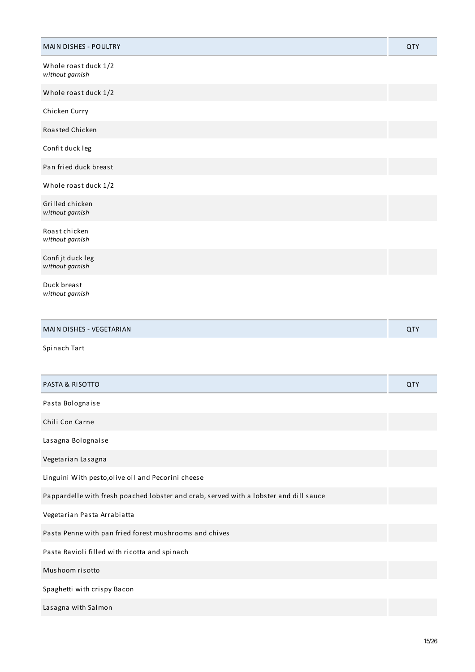| <b>MAIN DISHES - POULTRY</b>                                                          | <b>QTY</b> |
|---------------------------------------------------------------------------------------|------------|
| Whole roast duck 1/2<br>without garnish                                               |            |
| Whole roast duck 1/2                                                                  |            |
| Chicken Curry                                                                         |            |
| Roasted Chicken                                                                       |            |
| Confit duck leg                                                                       |            |
| Pan fried duck breast                                                                 |            |
| Whole roast duck 1/2                                                                  |            |
| Grilled chicken<br>without garnish                                                    |            |
| Roast chicken<br>without garnish                                                      |            |
| Confijt duck leg<br>without garnish                                                   |            |
| Duck breast<br>without garnish                                                        |            |
| MAIN DISHES - VEGETARIAN                                                              | QTY        |
| Spinach Tart                                                                          |            |
| <b>PASTA &amp; RISOTTO</b>                                                            | QTY        |
| Pasta Bolognaise                                                                      |            |
| Chili Con Carne                                                                       |            |
| Lasagna Bolognaise                                                                    |            |
| Vegetarian Lasagna                                                                    |            |
| Linguini With pesto, olive oil and Pecorini cheese                                    |            |
| Pappardelle with fresh poached lobster and crab, served with a lobster and dill sauce |            |
| Vegetarian Pasta Arrabiatta                                                           |            |
| Pasta Penne with pan fried forest mushrooms and chives                                |            |
| Pasta Ravioli filled with ricotta and spinach                                         |            |
| Mushoom risotto                                                                       |            |
| Spaghetti with crispy Bacon                                                           |            |
| Lasagna with Salmon                                                                   |            |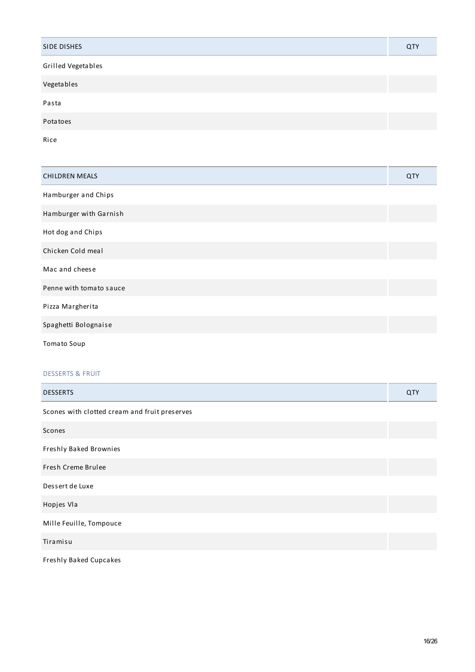| SIDE DISHES        | QTY |
|--------------------|-----|
| Grilled Vegetables |     |
| Vegetables         |     |
| Pasta              |     |
| Potatoes           |     |
| Rice               |     |

| <b>CHILDREN MEALS</b>   | QTY |
|-------------------------|-----|
| Hamburger and Chips     |     |
| Hamburger with Garnish  |     |
| Hot dog and Chips       |     |
| Chicken Cold meal       |     |
| Mac and cheese          |     |
| Penne with tomato sauce |     |
| Pizza Margherita        |     |
| Spaghetti Bolognaise    |     |
| <b>Tomato Soup</b>      |     |

## DESSERTS & FRUIT

| <b>DESSERTS</b>                               | QTY |
|-----------------------------------------------|-----|
| Scones with clotted cream and fruit preserves |     |
| Scones                                        |     |
| Freshly Baked Brownies                        |     |
| Fresh Creme Brulee                            |     |
| Dessert de Luxe                               |     |
| Hopjes Vla                                    |     |
| Mille Feuille, Tompouce                       |     |
| Tiramisu                                      |     |
| Freshly Baked Cupcakes                        |     |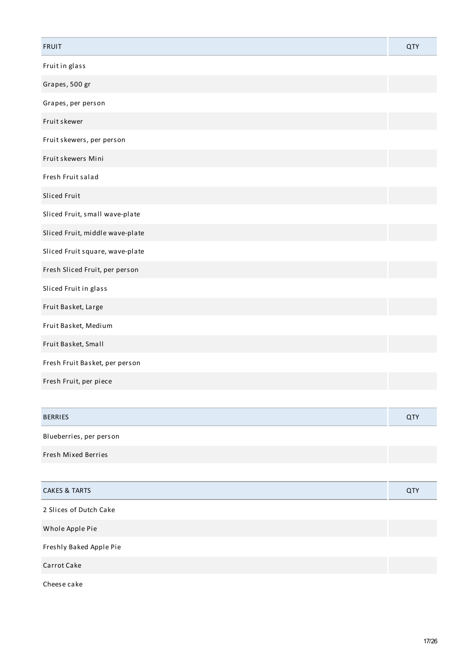| <b>FRUIT</b>                    | <b>QTY</b> |
|---------------------------------|------------|
| Fruit in glass                  |            |
| Grapes, 500 gr                  |            |
| Grapes, per person              |            |
| Fruit skewer                    |            |
| Fruit skewers, per person       |            |
| Fruit skewers Mini              |            |
| Fresh Fruit salad               |            |
| Sliced Fruit                    |            |
| Sliced Fruit, small wave-plate  |            |
| Sliced Fruit, middle wave-plate |            |
| Sliced Fruit square, wave-plate |            |
| Fresh Sliced Fruit, per person  |            |
| Sliced Fruit in glass           |            |
| Fruit Basket, Large             |            |
| Fruit Basket, Medium            |            |
| Fruit Basket, Small             |            |
| Fresh Fruit Basket, per person  |            |
| Fresh Fruit, per piece          |            |

| <b>BERRIES</b>          | QTY |
|-------------------------|-----|
| Blueberries, per person |     |

Fresh Mixed Berries

| <b>CAKES &amp; TARTS</b> | QTY |
|--------------------------|-----|
| 2 Slices of Dutch Cake   |     |
| Whole Apple Pie          |     |
| Freshly Baked Apple Pie  |     |
| Carrot Cake              |     |
| Cheese cake              |     |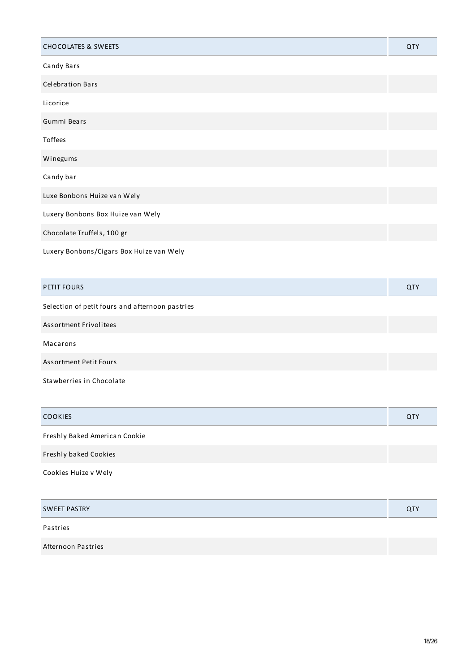| <b>CHOCOLATES &amp; SWEETS</b>           | QTY |
|------------------------------------------|-----|
| Candy Bars                               |     |
| <b>Celebration Bars</b>                  |     |
| Licorice                                 |     |
| Gummi Bears                              |     |
| Toffees                                  |     |
| Winegums                                 |     |
| Candy bar                                |     |
| Luxe Bonbons Huize van Wely              |     |
| Luxery Bonbons Box Huize van Wely        |     |
| Chocolate Truffels, 100 gr               |     |
| Luxery Bonbons/Cigars Box Huize van Wely |     |

| <b>PETIT FOURS</b>                              | QTY |
|-------------------------------------------------|-----|
| Selection of petit fours and afternoon pastries |     |
| Assortment Frivolitees                          |     |
| Macarons                                        |     |
| <b>Assortment Petit Fours</b>                   |     |
| Stawberries in Chocolate                        |     |

| <b>COOKIES</b>                | QTY |
|-------------------------------|-----|
| Freshly Baked American Cookie |     |
| Freshly baked Cookies         |     |
| Cookies Huize v Wely          |     |
|                               |     |
| <b>SWEET PASTRY</b>           | QTY |
| Pastries                      |     |
| Afternoon Pastries            |     |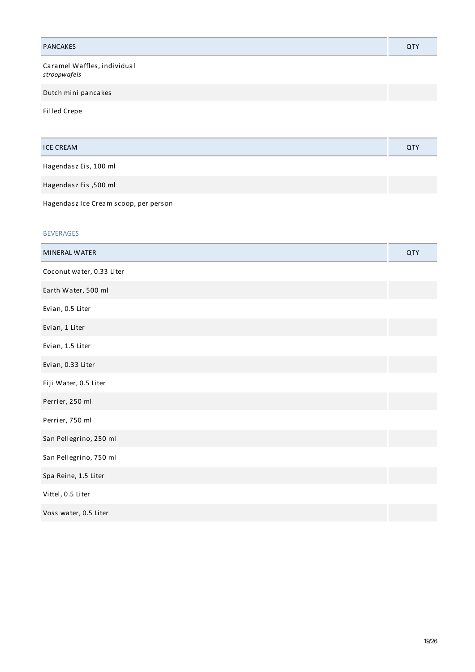| <b>PANCAKES</b>                             | <b>QTY</b> |
|---------------------------------------------|------------|
| Caramel Waffles, individual<br>stroopwafels |            |
| Dutch mini pancakes                         |            |
| Filled Crepe                                |            |
| <b>ICE CREAM</b>                            | <b>QTY</b> |
| Hagendasz Eis, 100 ml                       |            |
| Hagendasz Eis ,500 ml                       |            |
| Hagendasz Ice Cream scoop, per person       |            |
| <b>BEVERAGES</b>                            |            |
| MINERAL WATER                               | <b>QTY</b> |
| Coconut water, 0.33 Liter                   |            |
| Earth Water, 500 ml                         |            |
| Evian, 0.5 Liter                            |            |
| Evian, 1 Liter                              |            |
| Evian, 1.5 Liter                            |            |
| Evian, 0.33 Liter                           |            |
| Fiji Water, 0.5 Liter                       |            |
| Perrier, 250 ml                             |            |
| Perrier, 750 ml                             |            |
| San Pellegrino, 250 ml                      |            |
| San Pellegrino, 750 ml                      |            |
| Spa Reine, 1.5 Liter                        |            |
| Vittel, 0.5 Liter                           |            |

Voss water, 0.5 Liter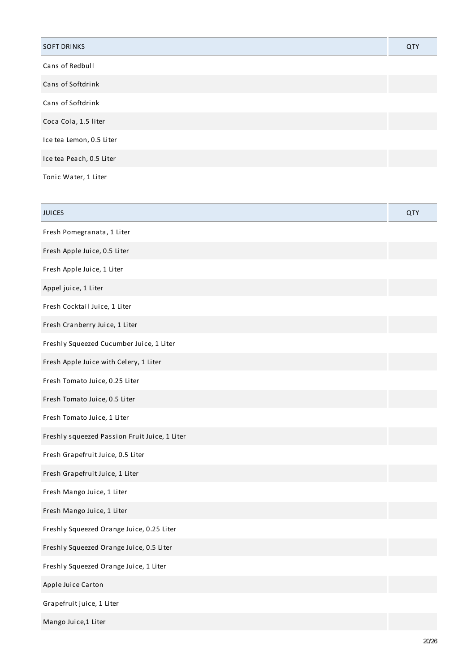| <b>SOFT DRINKS</b>       | QTY |
|--------------------------|-----|
| Cans of Redbull          |     |
| Cans of Softdrink        |     |
| Cans of Softdrink        |     |
| Coca Cola, 1.5 liter     |     |
| Ice tea Lemon, 0.5 Liter |     |
| Ice tea Peach, 0.5 Liter |     |
| Tonic Water, 1 Liter     |     |

| <b>JUICES</b>                                 | <b>QTY</b> |
|-----------------------------------------------|------------|
| Fresh Pomegranata, 1 Liter                    |            |
| Fresh Apple Juice, 0.5 Liter                  |            |
| Fresh Apple Juice, 1 Liter                    |            |
| Appel juice, 1 Liter                          |            |
| Fresh Cocktail Juice, 1 Liter                 |            |
| Fresh Cranberry Juice, 1 Liter                |            |
| Freshly Squeezed Cucumber Juice, 1 Liter      |            |
| Fresh Apple Juice with Celery, 1 Liter        |            |
| Fresh Tomato Juice, 0.25 Liter                |            |
| Fresh Tomato Juice, 0.5 Liter                 |            |
| Fresh Tomato Juice, 1 Liter                   |            |
| Freshly squeezed Passion Fruit Juice, 1 Liter |            |
| Fresh Grapefruit Juice, 0.5 Liter             |            |
| Fresh Grapefruit Juice, 1 Liter               |            |
| Fresh Mango Juice, 1 Liter                    |            |
| Fresh Mango Juice, 1 Liter                    |            |
| Freshly Squeezed Orange Juice, 0.25 Liter     |            |
| Freshly Squeezed Orange Juice, 0.5 Liter      |            |
| Freshly Squeezed Orange Juice, 1 Liter        |            |
| Apple Juice Carton                            |            |
| Grapefruit juice, 1 Liter                     |            |
| Mango Juice,1 Liter                           |            |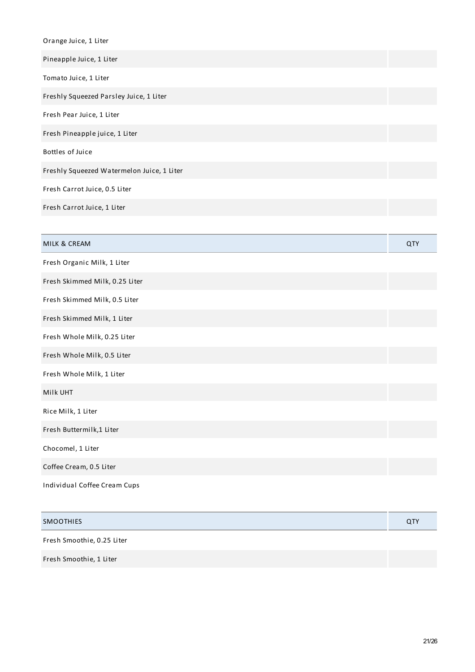| Orange Juice, 1 Liter                      |     |
|--------------------------------------------|-----|
| Pineapple Juice, 1 Liter                   |     |
| Tomato Juice, 1 Liter                      |     |
| Freshly Squeezed Parsley Juice, 1 Liter    |     |
| Fresh Pear Juice, 1 Liter                  |     |
| Fresh Pineapple juice, 1 Liter             |     |
| Bottles of Juice                           |     |
| Freshly Squeezed Watermelon Juice, 1 Liter |     |
| Fresh Carrot Juice, 0.5 Liter              |     |
| Fresh Carrot Juice, 1 Liter                |     |
|                                            |     |
| MILK & CREAM                               | QTY |
| Fresh Organic Milk, 1 Liter                |     |
|                                            |     |
| Fresh Skimmed Milk, 0.25 Liter             |     |
| Fresh Skimmed Milk, 0.5 Liter              |     |
| Fresh Skimmed Milk, 1 Liter                |     |
| Fresh Whole Milk, 0.25 Liter               |     |
| Fresh Whole Milk, 0.5 Liter                |     |
| Fresh Whole Milk, 1 Liter                  |     |
| Milk UHT                                   |     |
| Rice Milk, 1 Liter                         |     |
| Fresh Buttermilk,1 Liter                   |     |
| Chocomel, 1 Liter                          |     |
| Coffee Cream, 0.5 Liter                    |     |

| <b>SMOOTHIES</b>           | <b>QTY</b> |
|----------------------------|------------|
| Fresh Smoothie, 0.25 Liter |            |
| Fresh Smoothie, 1 Liter    |            |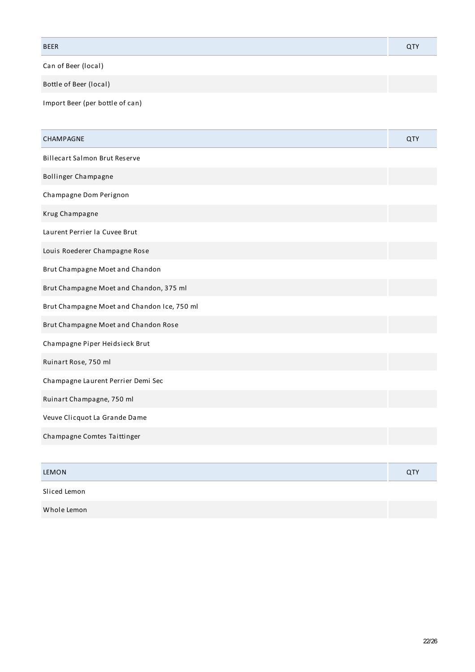| <b>BEER</b> |  |
|-------------|--|
|             |  |

Can of Beer (local)

Bottle of Beer (local)

Import Beer (per bottle of can)

| <b>CHAMPAGNE</b>                            | <b>QTY</b> |
|---------------------------------------------|------------|
| <b>Billecart Salmon Brut Reserve</b>        |            |
| Bollinger Champagne                         |            |
| Champagne Dom Perignon                      |            |
| Krug Champagne                              |            |
| Laurent Perrier la Cuvee Brut               |            |
| Louis Roederer Champagne Rose               |            |
| Brut Champagne Moet and Chandon             |            |
| Brut Champagne Moet and Chandon, 375 ml     |            |
| Brut Champagne Moet and Chandon Ice, 750 ml |            |
| Brut Champagne Moet and Chandon Rose        |            |
| Champagne Piper Heidsieck Brut              |            |
| Ruinart Rose, 750 ml                        |            |
| Champagne Laurent Perrier Demi Sec          |            |
| Ruinart Champagne, 750 ml                   |            |
| Veuve Clicquot La Grande Dame               |            |
| Champagne Comtes Taittinger                 |            |
|                                             |            |
| <b>LEMON</b>                                | <b>QTY</b> |
| Sliced Lemon                                |            |
|                                             |            |

Whole Lemon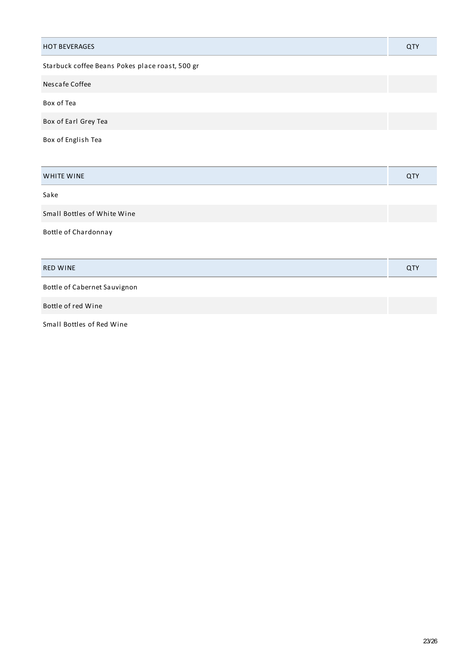| <b>HOT BEVERAGES</b>                            | QTY |
|-------------------------------------------------|-----|
| Starbuck coffee Beans Pokes place roast, 500 gr |     |
| Nescafe Coffee                                  |     |
| Box of Tea                                      |     |
| Box of Earl Grey Tea                            |     |
| Box of English Tea                              |     |
|                                                 |     |
| <b>WHITE WINE</b>                               | QTY |
| Sake                                            |     |
| Small Bottles of White Wine                     |     |
| Bottle of Chardonnay                            |     |
|                                                 |     |
| <b>RED WINE</b>                                 | QTY |
| Bottle of Cabernet Sauvignon                    |     |
| Bottle of red Wine                              |     |

Small Bottles of Red Wine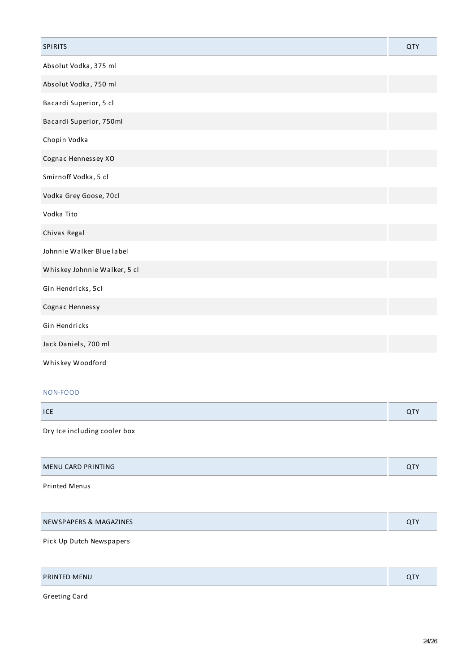| <b>SPIRITS</b>               | <b>QTY</b> |
|------------------------------|------------|
| Absolut Vodka, 375 ml        |            |
| Absolut Vodka, 750 ml        |            |
| Bacardi Superior, 5 cl       |            |
| Bacardi Superior, 750ml      |            |
| Chopin Vodka                 |            |
| Cognac Hennessey XO          |            |
| Smirnoff Vodka, 5 cl         |            |
| Vodka Grey Goose, 70cl       |            |
| Vodka Tito                   |            |
| Chivas Regal                 |            |
| Johnnie Walker Blue label    |            |
| Whiskey Johnnie Walker, 5 cl |            |
| Gin Hendricks, 5cl           |            |
| Cognac Hennessy              |            |
| Gin Hendricks                |            |
| Jack Daniels, 700 ml         |            |
| Whiskey Woodford             |            |

### NON-FOOD

| ICE |  |
|-----|--|
|     |  |

Dry Ice including cooler box

| ~ ' | MENU CARD PRINTING |  |
|-----|--------------------|--|
|-----|--------------------|--|

## Printed Menus

| NEWSPAPERS & MAGAZINES |  |
|------------------------|--|
|                        |  |

## Pick Up Dutch Newspapers

| PRINTED MENU<br>~- |
|--------------------|
|--------------------|

Greeting Card